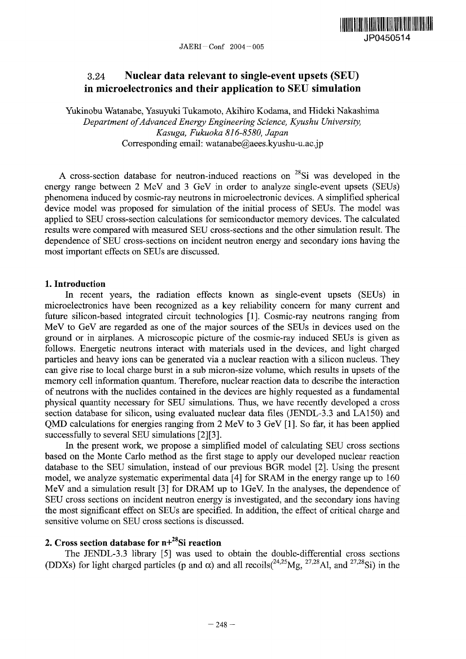

# 3.24 **Nuclear data relevant to single-event upsets** (SEU) **in microelectronics and their application to** SEU **simulation**

Yukinobu Watanabe, Yasuyuki Tukamoto, Akihiro Kodama, and Hideki Nakashima *Department ofAdvanced Energy Engineering Science, Kyushu University, Kasuga, Fukuoka 816-8580, Japan* Corresponding email: watanabe@aees.kyushu-u.ac.jp

A cross-section database for neutron-induced reactions on  $28Si$  was developed in the energy range between 2 MeV and 3 GeV in order to analyze single-event upsets (SEUs) phenomena induced by cosmic-ray neutrons in microelectronic devices. A simplified spherical device model was proposed for simulation of the initial process of SEUs. The model was applied to SEU cross-section calculations for semiconductor memory devices. The calculated results were compared with measured SEU cross-sections and the other simulation result. The dependence of SEU cross-sections on incident neutron energy and secondary ions having the most important effects on SEUs are discussed.

## 1. **Introduction**

In recent years, the radiation effects known as single-event upsets (SEUs) in microelectronics have been recognized as a key reliability concern for many current and future silicon-based integrated circuit technologies [1]. Cosmic-ray neutrons ranging from MeV to GeV are regarded as one of the major sources of the SEUs in devices used on the ground or in airplanes. A microscopic picture of the cosmic-ray induced SEUs is given as follows. Energetic neutrons interact with materials used in the devices, and light charged particles and heavy ions can be generated via a nuclear reaction with a silicon nucleus. They can give rise to local charge burst in a sub micron-size volume, which results in upsets of the memory cell information quantum. Therefore, nuclear reaction data to describe the interaction of neutrons with the nuelides contained in the devices are highly requested as a fundamental physical quantity necessary for SEU simulations. Thus, we have recently developed a cross section database for silicon, using evaluated nuclear data files (JENDL-3.3 and LA150) and QMD calculations for energies ranging from 2 MeV to 3 GeV [I]. So far, it has been applied successfully to several SEU simulations [2][3].

In the present work, we propose a simplified model of calculating SEU cross sections based on the Monte Carlo method as the first stage to apply our developed nuclear reaction database to the SEU simulation, instead of our previous BGR model 2]. Using the present model, we analyze systematic experimental data [4] for SRAM in the energy range up to 160 MeV and a simulation result  $[3]$  for DRAM up to 1 GeV. In the analyses, the dependence of SEU cross sections on incident neutron energy is investigated, and the secondary ions having the most significant effect on SEUs are specified. In addition, the effect of critical charge and sensitive volume on SEU cross sections is discussed.

## **2. Cross section database for n+**<sup>28</sup>Si reaction

The JENDL-3.3 library [5] was used to obtain the double-differential cross sections (DDXs) for light charged particles (p and  $\alpha$ ) and all recoils(<sup>24,25</sup>Mg, <sup>27,28</sup>Al, and <sup>27,28</sup>Si) in the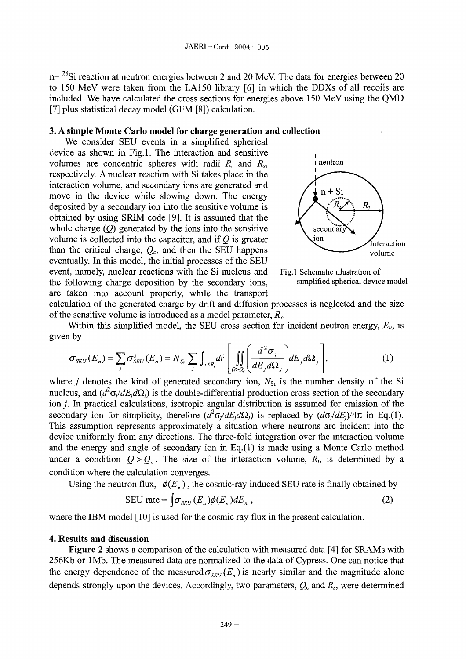n+ <sup>28</sup>Si reaction at neutron energies between 2 and 20 MeV. The data for energies between 20 to 150 MeV were taken from the LA150 library [6] in which the DDXs of all recoils are included. We have calculated the cross sections for energies above 150 MeV using the QMD [7] plus statistical decay model (GEM [8]) calculation.

#### **3.** A **simple Monte Carlo model for charge generation and collection**

We consider SEU events in a simplified spherical device as shown in Fig.1. The interaction and sensitive volumes are concentric spheres with radii  $R_i$  and  $R_s$ , **i** neutron respectively. A nuclear reaction with Si takes place in the interaction volume, and secondary ions are generated and move in the device while slowing down. The energy  $\left( \frac{1}{2} \ln + \frac{1}{2} \ln \frac{1}{2} \right)$ deposited by a secondary ion into the sensitive volume is obtained by using SRIM code [9]. It is assumed that the whole charge  $(Q)$  generated by the ions into the sensitive secondar volume is collected into the capacitor, and if  $Q$  is greater  $\sum_{\text{interation}}$ than the critical charge,  $Q_c$ , and then the SEU happens volume eventually. In this model, the initial processes of the SEU event, namely, nuclear reactions with the Si nucleus and Fig.1 Schematic illustration of the following charge deposition by the secondary ions, simplified spherical device model are taken into account properly, while the transport





calculation of the generated charge by drift and diffusion processes is neglected and the size of the sensitive volume is introduced as a model parameter,  $R_s$ .

Within this simplified model, the SEU cross section for incident neutron energy,  $E_n$ , is given by

$$
\sigma_{SEU}(E_n) = \sum_j \sigma_{SEU}^j(E_n) = N_{S_i} \sum_j \int_{r \le R_i} d\vec{r} \left[ \iint_{Q > Q_c} \left( \frac{d^2 \sigma_j}{dE_j d\Omega_j} \right) dE_j d\Omega_j \right],
$$
 (1)

where  $j$  denotes the kind of generated secondary ion,  $N_{\text{St}}$  is the number density of the Si nucleus, and  $(d^2\sigma/dE_d\Omega)$  is the double-differential production cross section of the secondary ion *j*. In practical calculations, isotropic angular distribution is assumed for emission of the secondary ion for simplicity, therefore  $(d^2\sigma/dE_d\Omega)$  is replaced by  $(d\sigma/dE_t)/4\pi$  in Eq.(1). This assumption represents approximately a situation where neutrons are incident into the device uniformly from any directions. The three-fold integration over the interaction volume and the energy and angle of secondary ion in Eq.(l) is made using a Monte Carlo method under a condition  $Q > Q_c$ . The size of the interaction volume,  $R_1$ , is determined by a condition where the calculation converges.

Using the neutron flux,  $\phi(E_n)$ , the cosmic-ray induced SEU rate is finally obtained by

$$
SEU rate = \int \sigma_{SEU} (E_n) \phi(E_n) dE_n , \qquad (2)
$$

where the IBM model  $[10]$  is used for the cosmic ray flux in the present calculation.

#### **4. Results and discussion**

**Figure 2** shows a comparison of the calculation with measured data [4] for SRAMs with 256Kb or I Mb. The measured data are normalized to the data of Cypress. One can notice that the energy dependence of the measured  $\sigma_{SEU}(E_n)$  is nearly similar and the magnitude alone depends strongly upon the devices. Accordingly, two parameters,  $Q_c$  and  $R_s$ , were determined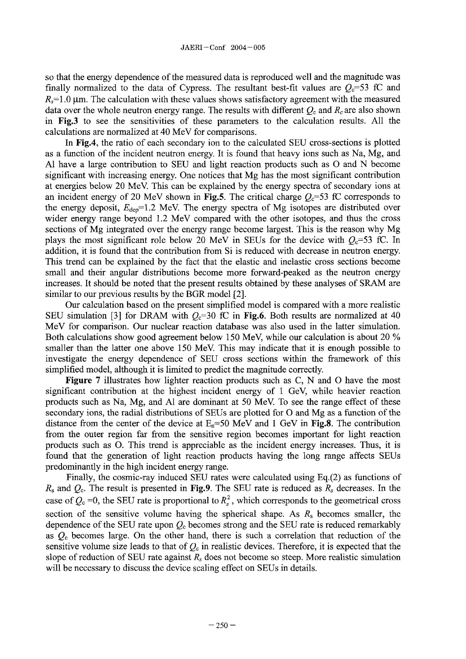so that the energy dependence of the measured data is reproduced well and the magnitude was finally normalized to the data of Cypress. The resultant best-fit values are  $Q<sub>c</sub>=53$  fC and  $R_s$ =1.0  $\mu$ m. The calculation with these values shows satisfactory agreement with the measured data over the whole neutron energy range. The results with different  $Q_c$  and  $R_c$  are also shown in **Fig.3** to see the sensitivities of these parameters to the calculation results. All the calculations are normalized at 40 MeV for comparisons.

In **Fig.4,** the ratio of each secondary ion to the calculated SEU cross-sections is plotted as a function of the incident neutron energy. It is found that heavy ions such as Na, Mg, and Al have a large contribution to SEU and light reaction products such as  $O$  and  $N$  become significant with increasing energy. One notices that Mg has the most significant contribution at energies below 20 MeV. This can be explained by the energy spectra of secondary ions at an incident energy of 20 MeV shown in **Fig.5**. The critical charge  $Q_c=53$  fC corresponds to the energy deposit,  $E_{\text{dep}}=1.2$  MeV. The energy spectra of Mg isotopes are distributed over wider energy range beyond 12 MeV compared with the other isotopes, and thus the cross sections of Mg integrated over the energy range become largest. This is the reason why Mg plays the most significant role below 20 MeV in SEUs for the device with  $Q_c$ =53 fC. In addition, it is found that the contribution from Si is reduced with decrease in neutron energy. This trend can be explained by the fact that the elastic and inelastic cross sections become small and their angular distributions become more forward-peaked as the neutron energy increases. It should be noted that the present results obtained by these analyses of SRAM are similar to our previous results by the BGR model [2].

Our calculation based on the present simplified model is compared with a more realistic SEU simulation [3] for DRAM with  $Q<sub>c</sub>=30$  fC in Fig.6. Both results are normalized at 40 MeV for comparison. Our nuclear reaction database was also used in the latter simulation. Both calculations show good agreement below 150 MeV, while our calculation is about 20 % smaller than the latter one above 150 MeV. This may indicate that it is enough possible to investigate the energy dependence of SEU cross sections within the framework of this simplified model, although it is limited to predict the magnitude correctly.

**Figure 7** illustrates how lighter reaction products such as C, N and O have the most significant contribution at the highest incident energy of I GeV, while heavier reaction products such as Na, Mg, and Al are dominant at 50 MeV To see the range effect of these secondary ions, the radial distributions of SEUs are plotted for O and Mg as a function of the distance from the center of the device at  $E_n = 50$  MeV and 1 GeV in **Fig.8**. The contribution from the outer region far from the sensitive region becomes important for light reaction products such as 0. This trend is appreciable as the incident energy increases. Thus, it is found that the generation of light reaction products having the long range affects SEUs predominantly in the high incident energy range.

Finally, the cosmic-ray induced SEU rates were calculated using Eq.(2) as functions of  $R_s$  and  $Q_c$ . The result is presented in **Fig.9**. The SEU rate is reduced as  $R_s$  decreases. In the case of  $Q_c = 0$ , the SEU rate is proportional to  $R_s^2$ , which corresponds to the geometrical cross section of the sensitive volume having the spherical shape. As  $R_s$  becomes smaller, the dependence of the SEU rate upon  $Q<sub>c</sub>$  becomes strong and the SEU rate is reduced remarkably as  $Q<sub>c</sub>$  becomes large. On the other hand, there is such a correlation that reduction of the sensitive volume size leads to that of  $Q_c$  in realistic devices. Therefore, it is expected that the slope of reduction of SEU rate against  $R_s$  does not become so steep. More realistic simulation will be necessary to discuss the device scaling effect on SEUs in details.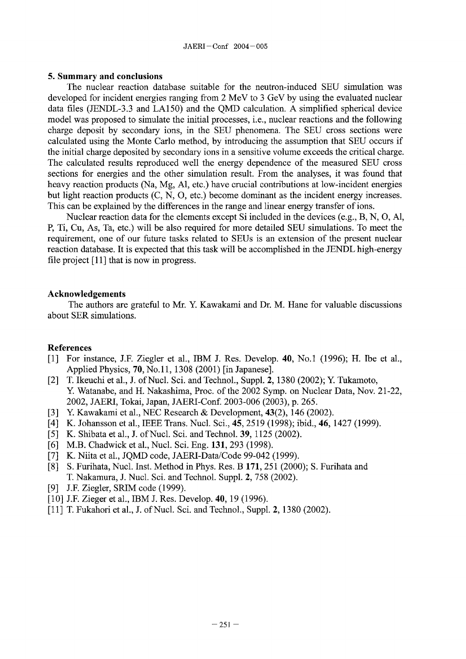#### **5. Summary and conclusions**

The nuclear reaction database suitable for the neutron-induced SEU simulation was developed for incident energies ranging from 2 MeV to 3 GeV by using the evaluated nuclear data files (JENDL-3.3 and LA150) and the QMD calculation. A simplified spherical device model was proposed to simulate the initial processes, i.e., nuclear reactions and the following charge deposit by secondary ions, in the SEU phenomena. The SEU cross sections were calculated using the Monte Carlo method, by introducing the assumption that SEU occurs if the initial charge deposited by secondary ions **in** a sensitive volume exceeds the critical charge. The calculated results reproduced well the energy dependence of the measured SEU cross sections for energies and the other simulation result. From the analyses, it was found that heavy reaction products (Na, Mg, Al, etc.) have crucial contributions at low-incident energies but light reaction products (C, N, 0, etc.) become dominant as the incident energy increases. This can be explained by the differences in the range and linear energy transfer of ions.

Nuclear reaction data for the elements except Si included in the devices (e.g., B, N, 0, Al, P, Ti, Cu, As, Ta, etc.) will be also required for more detailed SEU simulations. To meet the requirement, one of our future tasks related to SEUs is an extension of the present nuclear reaction database. It is expected that this task will be accomplished in the JENDL high-energy file project [11] that is now in progress.

## **Acknowledgements**

The authors are grateful to Mr. Y. Kawakami and Dr. M. Hane for valuable discussions about SER simulations.

## **References**

- **[1]** For instance, J.F. Ziegler et al., IBM J. Res. Develop. **40,** No.1 1996); H. The et al., Applied Physics, **70**, No. 11, 1308 (2001) [in Japanese].
- [2] T. Ikeuchi et al., J. of Nucl. Sci. and Technol., Suppl. 2, 1380 (2002); Y. Tukamoto, Y Watanabe, and H. Nakashima, Proc. of the 2002 Symp. on Nuclear Data, Nov. 21-22, 2002, JAERI, Tokai, Japan, JAERI-Conf. 2003-006 2003), **p.** 265.
- [3] Y. Kawakami et al., NEC Research & Development, **43**(2), 146 (2002).
- [4] K. Johansson et al., IEEE Trans. Nucl. Sci., **45,** 2519 1998); ibid., **46,** 1427 1999).
- *[5]* K. Shibata et al., **J.** of Nucl. Sci. and Technol. **39,** 1125 2002).
- [6] M.B. Chadwick et al., Nucl. Sci. Eng. 131, 293 (1998).
- [7] K. Niita et al., JOMD code, JAERI-Data/Code 99-042 (1999).
- [8] S. Furihata, Nucl. Inst. Method in Phys. Res. **171,** 251 2000); S. Furihata and T. Nakamura, J. Nuel. Sci. and Technol. Suppl. 2, 758 (2002).
- [9] J.F. Ziegler, SRIM code (1999).
- [10] J.F. Zieger et al., IBM J. Res. Develop. **40**, 19 (1996).
- [11] T. Fukahori et al., J. of Nucl. Sci. and Technol., Suppl. 2, 1380 (2002).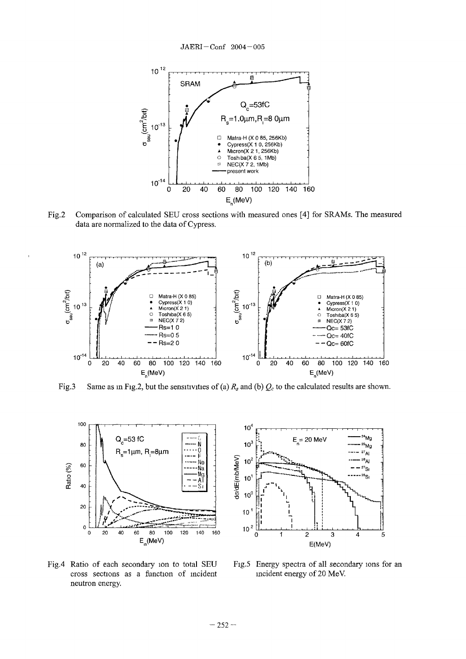

Fig.2 Comparison of calculated SEU cross sections with measured ones [4] for SRAMs. The measured data are normalized to the data of Cypress.



Fig.3 Same as in Fig.2, but the sensitivities of (a)  $R_s$  and (b)  $Q_c$  to the calculated results are shown.



Fig.4 Ratio of each secondary ion to total SEU cross sections as a function of incident neutron energy.



Fig.5 Energy spectra of all secondary ions for an incident energy of 20 MeV.